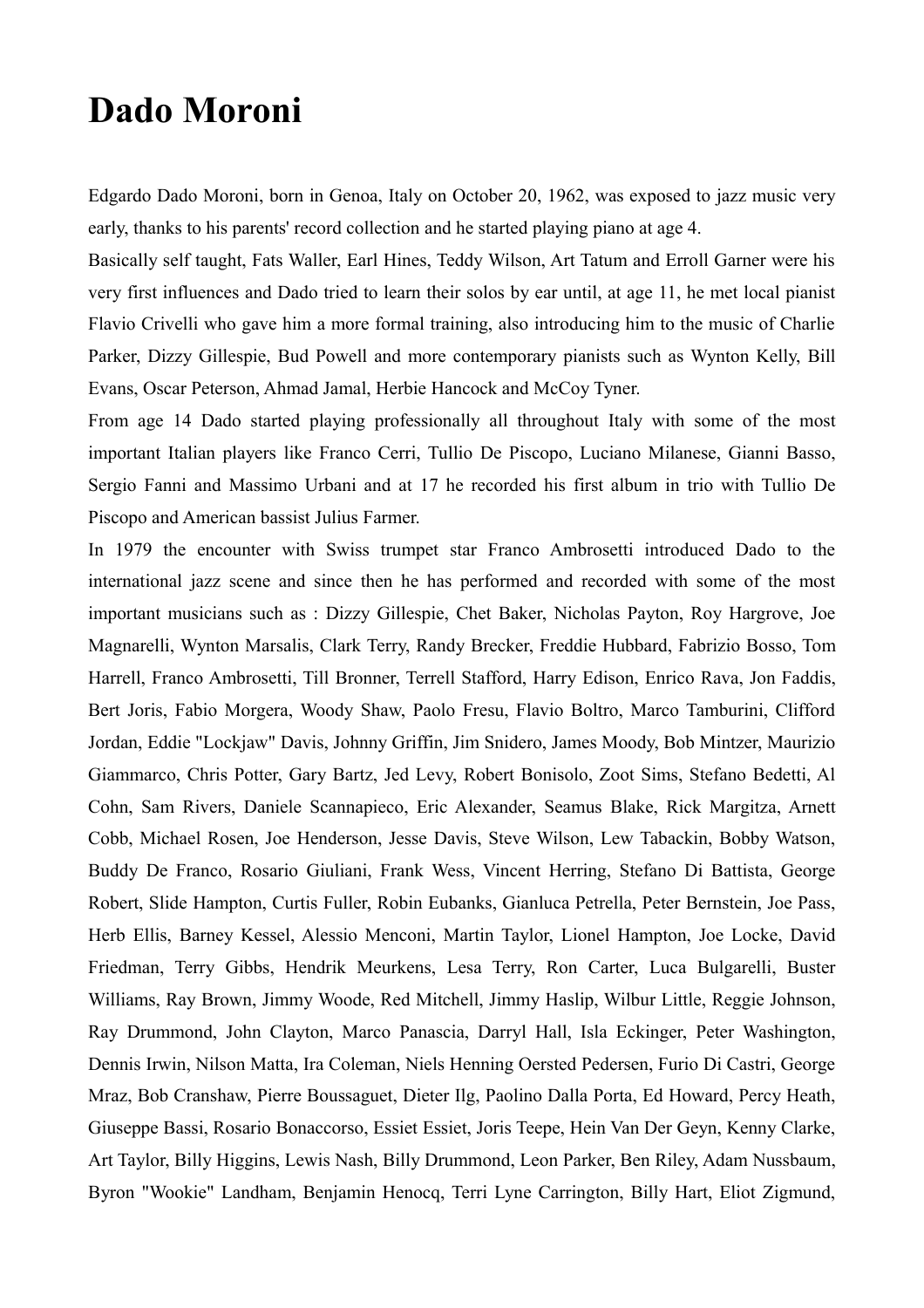## **Dado Moroni**

Edgardo Dado Moroni, born in Genoa, Italy on October 20, 1962, was exposed to jazz music very early, thanks to his parents' record collection and he started playing piano at age 4.

Basically self taught, Fats Waller, Earl Hines, Teddy Wilson, Art Tatum and Erroll Garner were his very first influences and Dado tried to learn their solos by ear until, at age 11, he met local pianist Flavio Crivelli who gave him a more formal training, also introducing him to the music of Charlie Parker, Dizzy Gillespie, Bud Powell and more contemporary pianists such as Wynton Kelly, Bill Evans, Oscar Peterson, Ahmad Jamal, Herbie Hancock and McCoy Tyner.

From age 14 Dado started playing professionally all throughout Italy with some of the most important Italian players like Franco Cerri, Tullio De Piscopo, Luciano Milanese, Gianni Basso, Sergio Fanni and Massimo Urbani and at 17 he recorded his first album in trio with Tullio De Piscopo and American bassist Julius Farmer.

In 1979 the encounter with Swiss trumpet star Franco Ambrosetti introduced Dado to the international jazz scene and since then he has performed and recorded with some of the most important musicians such as : Dizzy Gillespie, Chet Baker, Nicholas Payton, Roy Hargrove, Joe Magnarelli, Wynton Marsalis, Clark Terry, Randy Brecker, Freddie Hubbard, Fabrizio Bosso, Tom Harrell, Franco Ambrosetti, Till Bronner, Terrell Stafford, Harry Edison, Enrico Rava, Jon Faddis, Bert Joris, Fabio Morgera, Woody Shaw, Paolo Fresu, Flavio Boltro, Marco Tamburini, Clifford Jordan, Eddie "Lockjaw" Davis, Johnny Griffin, Jim Snidero, James Moody, Bob Mintzer, Maurizio Giammarco, Chris Potter, Gary Bartz, Jed Levy, Robert Bonisolo, Zoot Sims, Stefano Bedetti, Al Cohn, Sam Rivers, Daniele Scannapieco, Eric Alexander, Seamus Blake, Rick Margitza, Arnett Cobb, Michael Rosen, Joe Henderson, Jesse Davis, Steve Wilson, Lew Tabackin, Bobby Watson, Buddy De Franco, Rosario Giuliani, Frank Wess, Vincent Herring, Stefano Di Battista, George Robert, Slide Hampton, Curtis Fuller, Robin Eubanks, Gianluca Petrella, Peter Bernstein, Joe Pass, Herb Ellis, Barney Kessel, Alessio Menconi, Martin Taylor, Lionel Hampton, Joe Locke, David Friedman, Terry Gibbs, Hendrik Meurkens, Lesa Terry, Ron Carter, Luca Bulgarelli, Buster Williams, Ray Brown, Jimmy Woode, Red Mitchell, Jimmy Haslip, Wilbur Little, Reggie Johnson, Ray Drummond, John Clayton, Marco Panascia, Darryl Hall, Isla Eckinger, Peter Washington, Dennis Irwin, Nilson Matta, Ira Coleman, Niels Henning Oersted Pedersen, Furio Di Castri, George Mraz, Bob Cranshaw, Pierre Boussaguet, Dieter Ilg, Paolino Dalla Porta, Ed Howard, Percy Heath, Giuseppe Bassi, Rosario Bonaccorso, Essiet Essiet, Joris Teepe, Hein Van Der Geyn, Kenny Clarke, Art Taylor, Billy Higgins, Lewis Nash, Billy Drummond, Leon Parker, Ben Riley, Adam Nussbaum, Byron "Wookie" Landham, Benjamin Henocq, Terri Lyne Carrington, Billy Hart, Eliot Zigmund,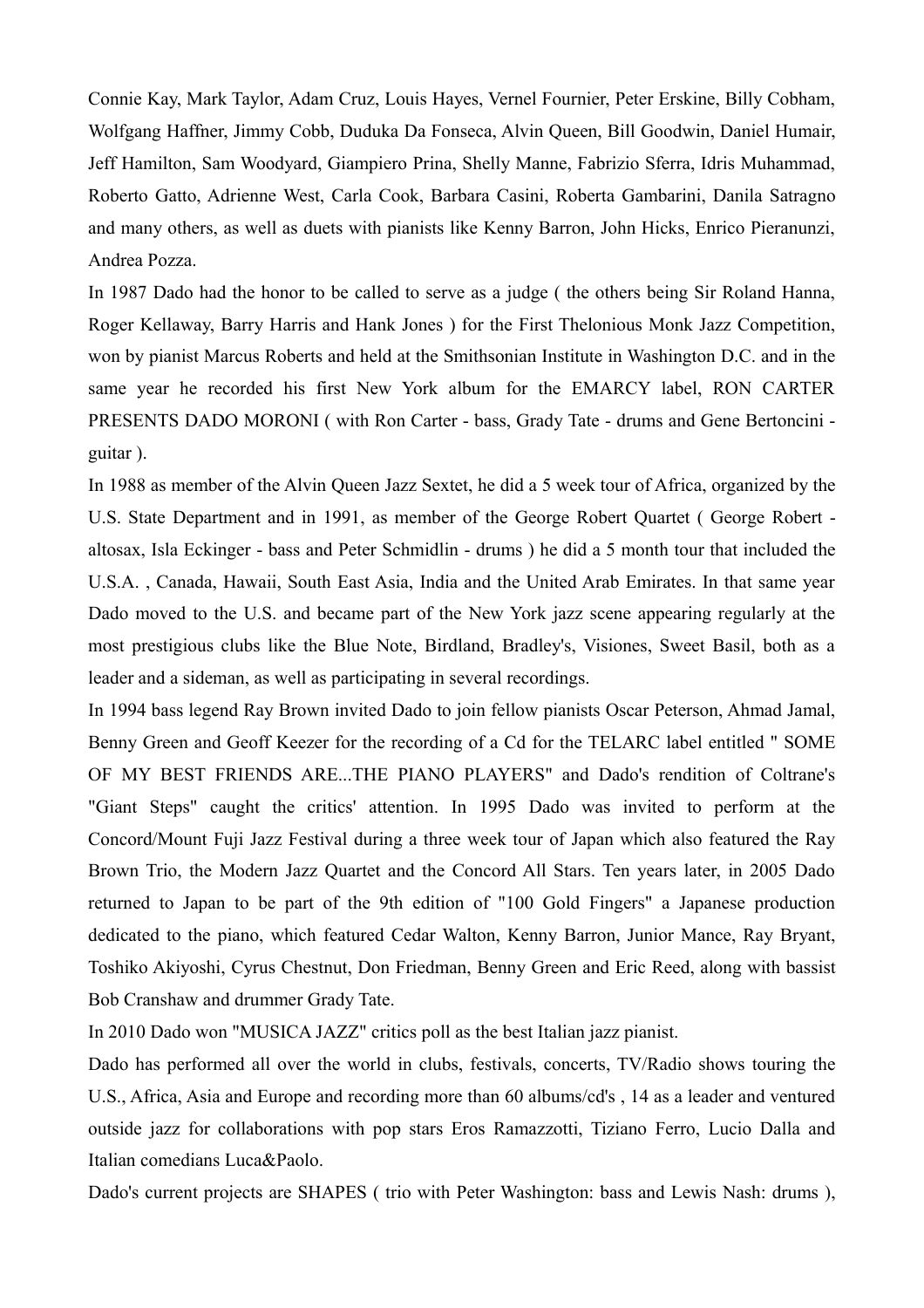Connie Kay, Mark Taylor, Adam Cruz, Louis Hayes, Vernel Fournier, Peter Erskine, Billy Cobham, Wolfgang Haffner, Jimmy Cobb, Duduka Da Fonseca, Alvin Queen, Bill Goodwin, Daniel Humair, Jeff Hamilton, Sam Woodyard, Giampiero Prina, Shelly Manne, Fabrizio Sferra, Idris Muhammad, Roberto Gatto, Adrienne West, Carla Cook, Barbara Casini, Roberta Gambarini, Danila Satragno and many others, as well as duets with pianists like Kenny Barron, John Hicks, Enrico Pieranunzi, Andrea Pozza.

In 1987 Dado had the honor to be called to serve as a judge ( the others being Sir Roland Hanna, Roger Kellaway, Barry Harris and Hank Jones ) for the First Thelonious Monk Jazz Competition, won by pianist Marcus Roberts and held at the Smithsonian Institute in Washington D.C. and in the same year he recorded his first New York album for the EMARCY label, RON CARTER PRESENTS DADO MORONI ( with Ron Carter - bass, Grady Tate - drums and Gene Bertoncini guitar ).

In 1988 as member of the Alvin Queen Jazz Sextet, he did a 5 week tour of Africa, organized by the U.S. State Department and in 1991, as member of the George Robert Quartet ( George Robert altosax, Isla Eckinger - bass and Peter Schmidlin - drums ) he did a 5 month tour that included the U.S.A. , Canada, Hawaii, South East Asia, India and the United Arab Emirates. In that same year Dado moved to the U.S. and became part of the New York jazz scene appearing regularly at the most prestigious clubs like the Blue Note, Birdland, Bradley's, Visiones, Sweet Basil, both as a leader and a sideman, as well as participating in several recordings.

In 1994 bass legend Ray Brown invited Dado to join fellow pianists Oscar Peterson, Ahmad Jamal, Benny Green and Geoff Keezer for the recording of a Cd for the TELARC label entitled " SOME OF MY BEST FRIENDS ARE...THE PIANO PLAYERS" and Dado's rendition of Coltrane's "Giant Steps" caught the critics' attention. In 1995 Dado was invited to perform at the Concord/Mount Fuji Jazz Festival during a three week tour of Japan which also featured the Ray Brown Trio, the Modern Jazz Quartet and the Concord All Stars. Ten years later, in 2005 Dado returned to Japan to be part of the 9th edition of "100 Gold Fingers" a Japanese production dedicated to the piano, which featured Cedar Walton, Kenny Barron, Junior Mance, Ray Bryant, Toshiko Akiyoshi, Cyrus Chestnut, Don Friedman, Benny Green and Eric Reed, along with bassist Bob Cranshaw and drummer Grady Tate.

In 2010 Dado won "MUSICA JAZZ" critics poll as the best Italian jazz pianist.

Dado has performed all over the world in clubs, festivals, concerts, TV/Radio shows touring the U.S., Africa, Asia and Europe and recording more than 60 albums/cd's , 14 as a leader and ventured outside jazz for collaborations with pop stars Eros Ramazzotti, Tiziano Ferro, Lucio Dalla and Italian comedians Luca&Paolo.

Dado's current projects are SHAPES ( trio with Peter Washington: bass and Lewis Nash: drums ),